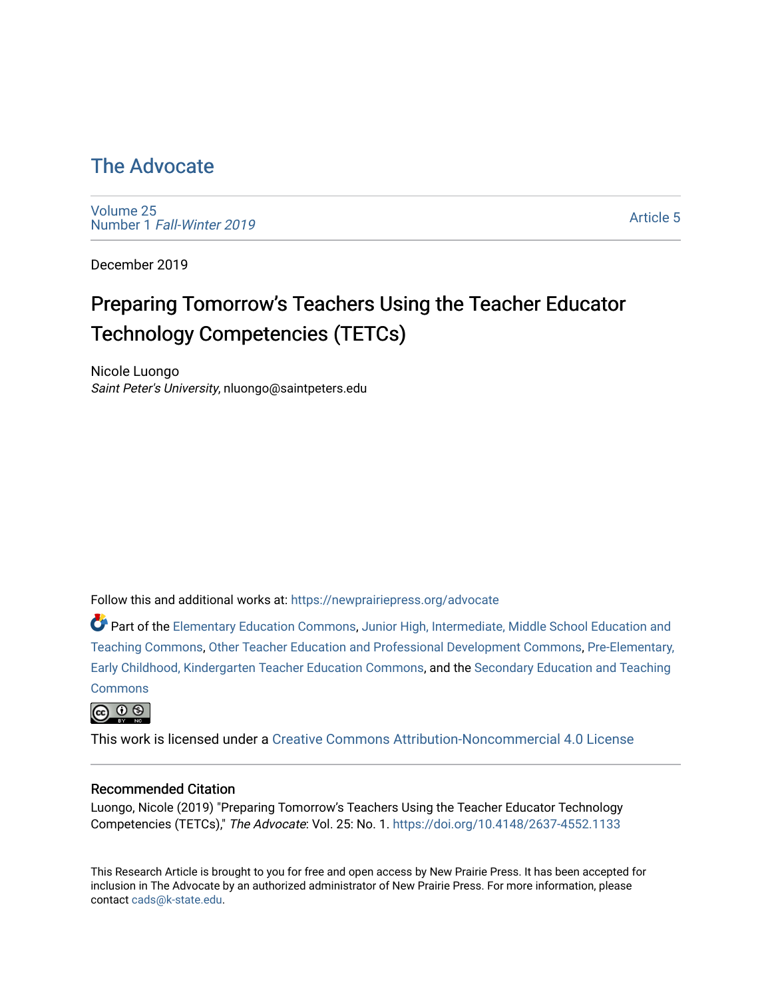## [The Advocate](https://newprairiepress.org/advocate)

[Volume 25](https://newprairiepress.org/advocate/vol25) Number 1 [Fall-Winter 2019](https://newprairiepress.org/advocate/vol25/iss1)

[Article 5](https://newprairiepress.org/advocate/vol25/iss1/5) 

December 2019

# Preparing Tomorrow's Teachers Using the Teacher Educator Technology Competencies (TETCs)

Nicole Luongo Saint Peter's University, nluongo@saintpeters.edu

Follow this and additional works at: [https://newprairiepress.org/advocate](https://newprairiepress.org/advocate?utm_source=newprairiepress.org%2Fadvocate%2Fvol25%2Fiss1%2F5&utm_medium=PDF&utm_campaign=PDFCoverPages) 

Part of the [Elementary Education Commons,](http://network.bepress.com/hgg/discipline/1378?utm_source=newprairiepress.org%2Fadvocate%2Fvol25%2Fiss1%2F5&utm_medium=PDF&utm_campaign=PDFCoverPages) [Junior High, Intermediate, Middle School Education and](http://network.bepress.com/hgg/discipline/807?utm_source=newprairiepress.org%2Fadvocate%2Fvol25%2Fiss1%2F5&utm_medium=PDF&utm_campaign=PDFCoverPages) [Teaching Commons](http://network.bepress.com/hgg/discipline/807?utm_source=newprairiepress.org%2Fadvocate%2Fvol25%2Fiss1%2F5&utm_medium=PDF&utm_campaign=PDFCoverPages), [Other Teacher Education and Professional Development Commons,](http://network.bepress.com/hgg/discipline/810?utm_source=newprairiepress.org%2Fadvocate%2Fvol25%2Fiss1%2F5&utm_medium=PDF&utm_campaign=PDFCoverPages) [Pre-Elementary,](http://network.bepress.com/hgg/discipline/808?utm_source=newprairiepress.org%2Fadvocate%2Fvol25%2Fiss1%2F5&utm_medium=PDF&utm_campaign=PDFCoverPages) [Early Childhood, Kindergarten Teacher Education Commons](http://network.bepress.com/hgg/discipline/808?utm_source=newprairiepress.org%2Fadvocate%2Fvol25%2Fiss1%2F5&utm_medium=PDF&utm_campaign=PDFCoverPages), and the [Secondary Education and Teaching](http://network.bepress.com/hgg/discipline/809?utm_source=newprairiepress.org%2Fadvocate%2Fvol25%2Fiss1%2F5&utm_medium=PDF&utm_campaign=PDFCoverPages) **[Commons](http://network.bepress.com/hgg/discipline/809?utm_source=newprairiepress.org%2Fadvocate%2Fvol25%2Fiss1%2F5&utm_medium=PDF&utm_campaign=PDFCoverPages)** 

@ 0 ®

This work is licensed under a [Creative Commons Attribution-Noncommercial 4.0 License](https://creativecommons.org/licenses/by-nc/4.0/)

#### Recommended Citation

Luongo, Nicole (2019) "Preparing Tomorrow's Teachers Using the Teacher Educator Technology Competencies (TETCs)," The Advocate: Vol. 25: No. 1. <https://doi.org/10.4148/2637-4552.1133>

This Research Article is brought to you for free and open access by New Prairie Press. It has been accepted for inclusion in The Advocate by an authorized administrator of New Prairie Press. For more information, please contact [cads@k-state.edu](mailto:cads@k-state.edu).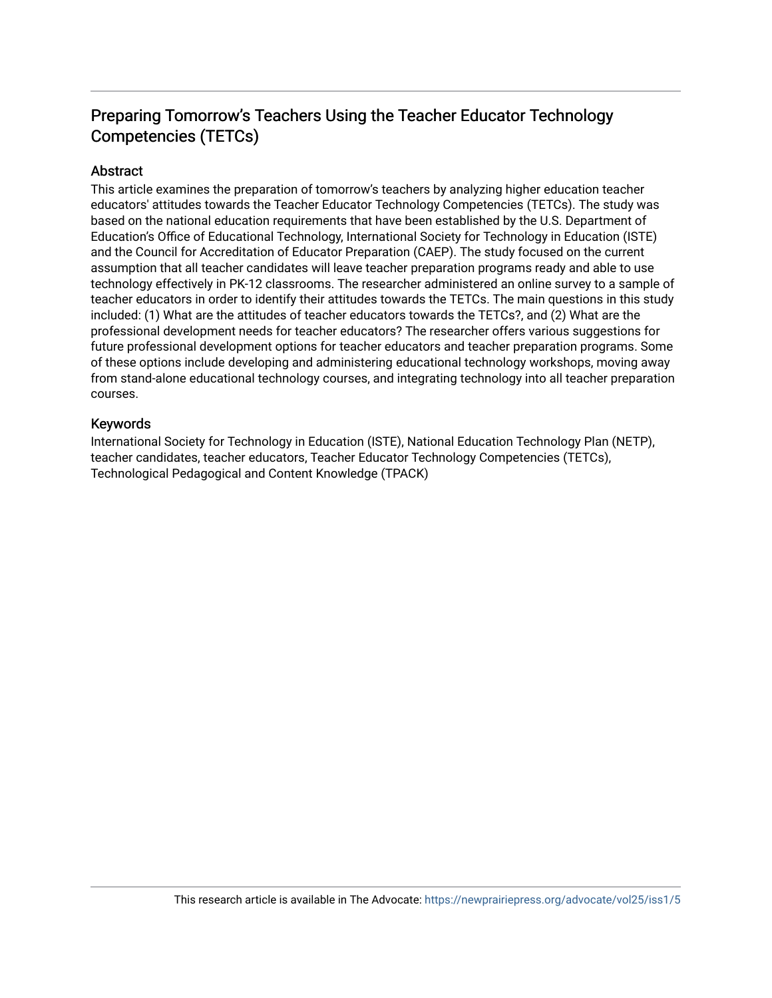### Preparing Tomorrow's Teachers Using the Teacher Educator Technology Competencies (TETCs)

#### **Abstract**

This article examines the preparation of tomorrow's teachers by analyzing higher education teacher educators' attitudes towards the Teacher Educator Technology Competencies (TETCs). The study was based on the national education requirements that have been established by the U.S. Department of Education's Office of Educational Technology, International Society for Technology in Education (ISTE) and the Council for Accreditation of Educator Preparation (CAEP). The study focused on the current assumption that all teacher candidates will leave teacher preparation programs ready and able to use technology effectively in PK-12 classrooms. The researcher administered an online survey to a sample of teacher educators in order to identify their attitudes towards the TETCs. The main questions in this study included: (1) What are the attitudes of teacher educators towards the TETCs?, and (2) What are the professional development needs for teacher educators? The researcher offers various suggestions for future professional development options for teacher educators and teacher preparation programs. Some of these options include developing and administering educational technology workshops, moving away from stand-alone educational technology courses, and integrating technology into all teacher preparation courses.

#### Keywords

International Society for Technology in Education (ISTE), National Education Technology Plan (NETP), teacher candidates, teacher educators, Teacher Educator Technology Competencies (TETCs), Technological Pedagogical and Content Knowledge (TPACK)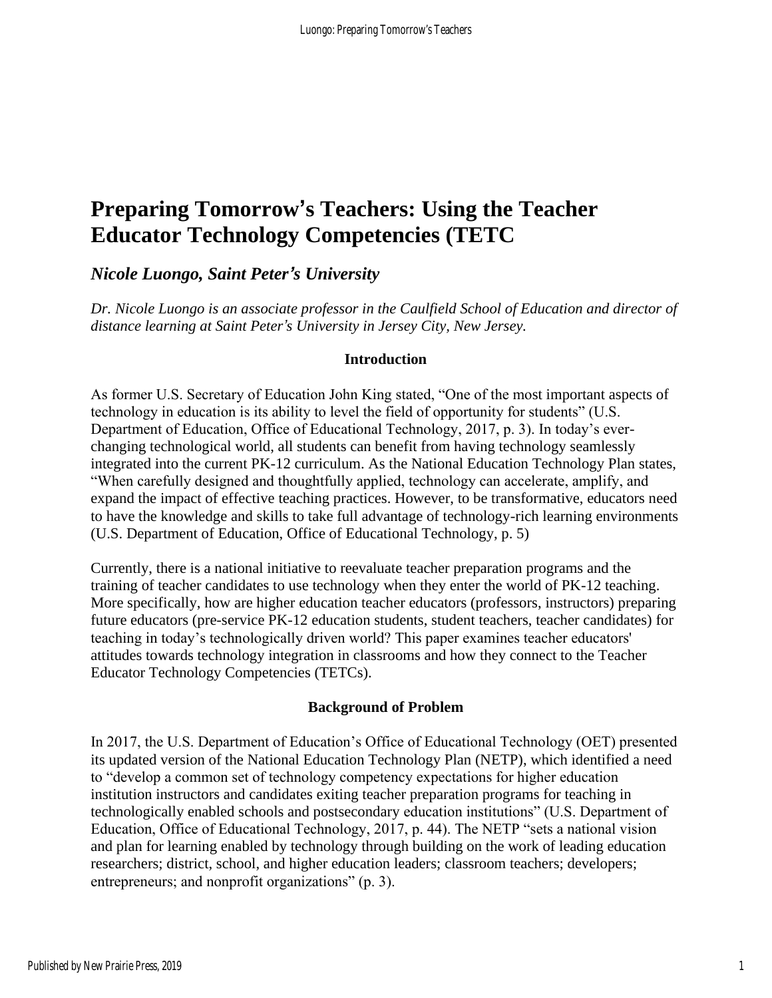## **Preparing Tomorrow's Teachers: Using the Teacher Educator Technology Competencies (TETC**

### *Nicole Luongo, Saint Peter's University*

*Dr. Nicole Luongo is an associate professor in the Caulfield School of Education and director of distance learning at Saint Peter's University in Jersey City, New Jersey.*

#### **Introduction**

As former U.S. Secretary of Education John King stated, "One of the most important aspects of technology in education is its ability to level the field of opportunity for students" (U.S. Department of Education, Office of Educational Technology, 2017, p. 3). In today's everchanging technological world, all students can benefit from having technology seamlessly integrated into the current PK-12 curriculum. As the National Education Technology Plan states, "When carefully designed and thoughtfully applied, technology can accelerate, amplify, and expand the impact of effective teaching practices. However, to be transformative, educators need to have the knowledge and skills to take full advantage of technology-rich learning environments (U.S. Department of Education, Office of Educational Technology, p. 5)

Currently, there is a national initiative to reevaluate teacher preparation programs and the training of teacher candidates to use technology when they enter the world of PK-12 teaching. More specifically, how are higher education teacher educators (professors, instructors) preparing future educators (pre-service PK-12 education students, student teachers, teacher candidates) for teaching in today's technologically driven world? This paper examines teacher educators' attitudes towards technology integration in classrooms and how they connect to the Teacher Educator Technology Competencies (TETCs).

#### **Background of Problem**

In 2017, the U.S. Department of Education's Office of Educational Technology (OET) presented its updated version of the National Education Technology Plan (NETP), which identified a need to "develop a common set of technology competency expectations for higher education institution instructors and candidates exiting teacher preparation programs for teaching in technologically enabled schools and postsecondary education institutions" (U.S. Department of Education, Office of Educational Technology, 2017, p. 44). The NETP "sets a national vision and plan for learning enabled by technology through building on the work of leading education researchers; district, school, and higher education leaders; classroom teachers; developers; entrepreneurs; and nonprofit organizations" (p. 3).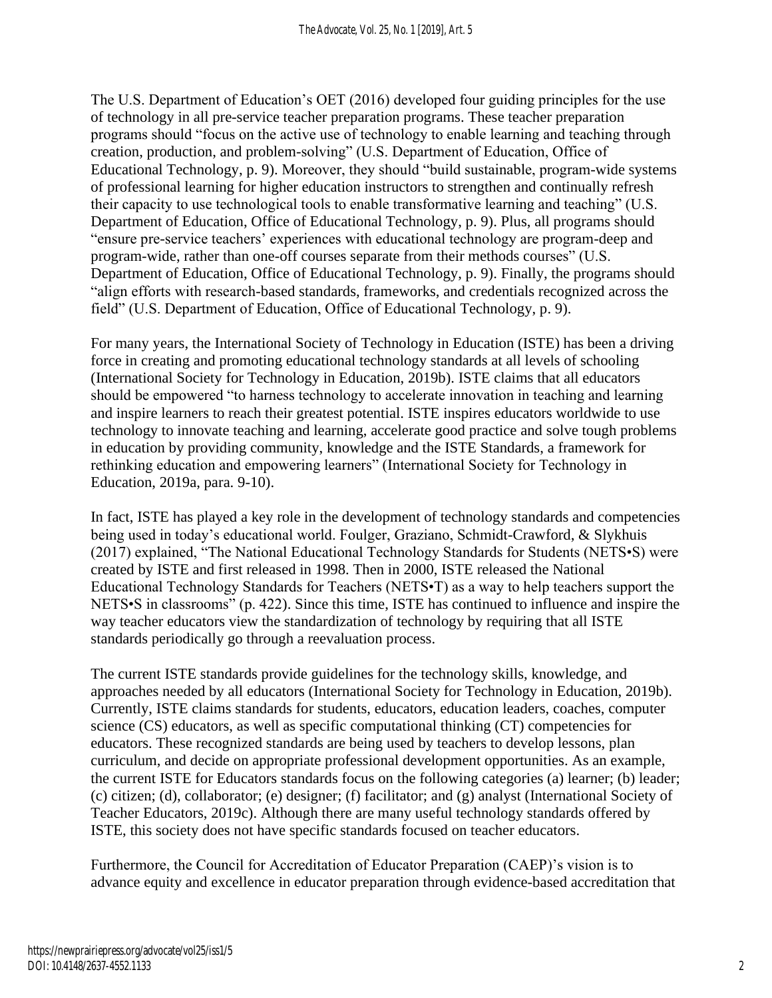The U.S. Department of Education's OET (2016) developed four guiding principles for the use of technology in all pre-service teacher preparation programs. These teacher preparation programs should "focus on the active use of technology to enable learning and teaching through creation, production, and problem-solving" (U.S. Department of Education, Office of Educational Technology, p. 9). Moreover, they should "build sustainable, program-wide systems of professional learning for higher education instructors to strengthen and continually refresh their capacity to use technological tools to enable transformative learning and teaching" (U.S. Department of Education, Office of Educational Technology, p. 9). Plus, all programs should "ensure pre-service teachers' experiences with educational technology are program-deep and program-wide, rather than one-off courses separate from their methods courses" (U.S. Department of Education, Office of Educational Technology, p. 9). Finally, the programs should "align efforts with research-based standards, frameworks, and credentials recognized across the field" (U.S. Department of Education, Office of Educational Technology, p. 9).

For many years, the International Society of Technology in Education (ISTE) has been a driving force in creating and promoting educational technology standards at all levels of schooling (International Society for Technology in Education, 2019b). ISTE claims that all educators should be empowered "to harness technology to accelerate innovation in teaching and learning and inspire learners to reach their greatest potential. ISTE inspires educators worldwide to use technology to innovate teaching and learning, accelerate good practice and solve tough problems in education by providing community, knowledge and the ISTE Standards, a framework for rethinking education and empowering learners" (International Society for Technology in Education, 2019a, para. 9-10).

In fact, ISTE has played a key role in the development of technology standards and competencies being used in today's educational world. Foulger, Graziano, Schmidt-Crawford, & Slykhuis (2017) explained, "The National Educational Technology Standards for Students (NETS•S) were created by ISTE and first released in 1998. Then in 2000, ISTE released the National Educational Technology Standards for Teachers (NETS•T) as a way to help teachers support the NETS•S in classrooms" (p. 422). Since this time, ISTE has continued to influence and inspire the way teacher educators view the standardization of technology by requiring that all ISTE standards periodically go through a reevaluation process.

The current ISTE standards provide guidelines for the technology skills, knowledge, and approaches needed by all educators (International Society for Technology in Education, 2019b). Currently, ISTE claims standards for students, educators, education leaders, coaches, computer science (CS) educators, as well as specific computational thinking (CT) competencies for educators. These recognized standards are being used by teachers to develop lessons, plan curriculum, and decide on appropriate professional development opportunities. As an example, the current ISTE for Educators standards focus on the following categories (a) learner; (b) leader; (c) citizen; (d), collaborator; (e) designer; (f) facilitator; and (g) analyst (International Society of Teacher Educators, 2019c). Although there are many useful technology standards offered by ISTE, this society does not have specific standards focused on teacher educators.

Furthermore, the Council for Accreditation of Educator Preparation (CAEP)'s vision is to advance equity and excellence in educator preparation through evidence-based accreditation that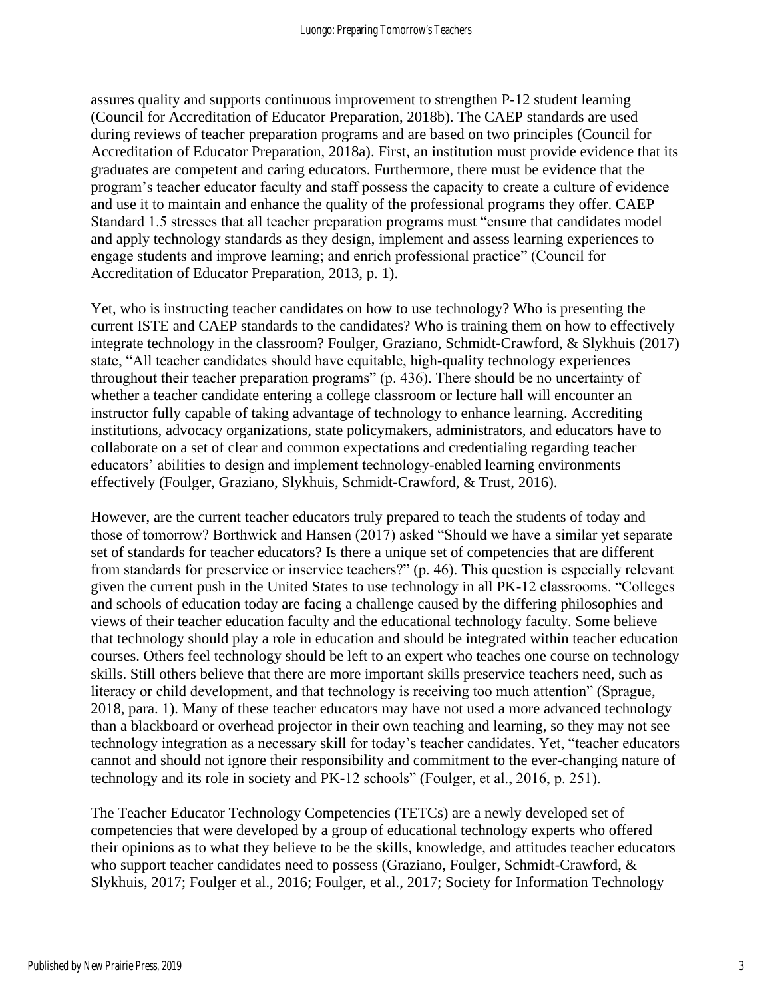assures quality and supports continuous improvement to strengthen P-12 student learning (Council for Accreditation of Educator Preparation, 2018b). The CAEP standards are used during reviews of teacher preparation programs and are based on two principles (Council for Accreditation of Educator Preparation, 2018a). First, an institution must provide evidence that its graduates are competent and caring educators. Furthermore, there must be evidence that the program's teacher educator faculty and staff possess the capacity to create a culture of evidence and use it to maintain and enhance the quality of the professional programs they offer. CAEP Standard 1.5 stresses that all teacher preparation programs must "ensure that candidates model and apply technology standards as they design, implement and assess learning experiences to engage students and improve learning; and enrich professional practice" (Council for Accreditation of Educator Preparation, 2013, p. 1).

Yet, who is instructing teacher candidates on how to use technology? Who is presenting the current ISTE and CAEP standards to the candidates? Who is training them on how to effectively integrate technology in the classroom? Foulger, Graziano, Schmidt-Crawford, & Slykhuis (2017) state, "All teacher candidates should have equitable, high-quality technology experiences throughout their teacher preparation programs" (p. 436). There should be no uncertainty of whether a teacher candidate entering a college classroom or lecture hall will encounter an instructor fully capable of taking advantage of technology to enhance learning. Accrediting institutions, advocacy organizations, state policymakers, administrators, and educators have to collaborate on a set of clear and common expectations and credentialing regarding teacher educators' abilities to design and implement technology-enabled learning environments effectively (Foulger, Graziano, Slykhuis, Schmidt-Crawford, & Trust, 2016).

However, are the current teacher educators truly prepared to teach the students of today and those of tomorrow? Borthwick and Hansen (2017) asked "Should we have a similar yet separate set of standards for teacher educators? Is there a unique set of competencies that are different from standards for preservice or inservice teachers?" (p. 46). This question is especially relevant given the current push in the United States to use technology in all PK-12 classrooms. "Colleges and schools of education today are facing a challenge caused by the differing philosophies and views of their teacher education faculty and the educational technology faculty. Some believe that technology should play a role in education and should be integrated within teacher education courses. Others feel technology should be left to an expert who teaches one course on technology skills. Still others believe that there are more important skills preservice teachers need, such as literacy or child development, and that technology is receiving too much attention" (Sprague, 2018, para. 1). Many of these teacher educators may have not used a more advanced technology than a blackboard or overhead projector in their own teaching and learning, so they may not see technology integration as a necessary skill for today's teacher candidates. Yet, "teacher educators cannot and should not ignore their responsibility and commitment to the ever-changing nature of technology and its role in society and PK-12 schools" (Foulger, et al., 2016, p. 251).

The Teacher Educator Technology Competencies (TETCs) are a newly developed set of competencies that were developed by a group of educational technology experts who offered their opinions as to what they believe to be the skills, knowledge, and attitudes teacher educators who support teacher candidates need to possess (Graziano, Foulger, Schmidt-Crawford, & Slykhuis, 2017; Foulger et al., 2016; Foulger, et al., 2017; Society for Information Technology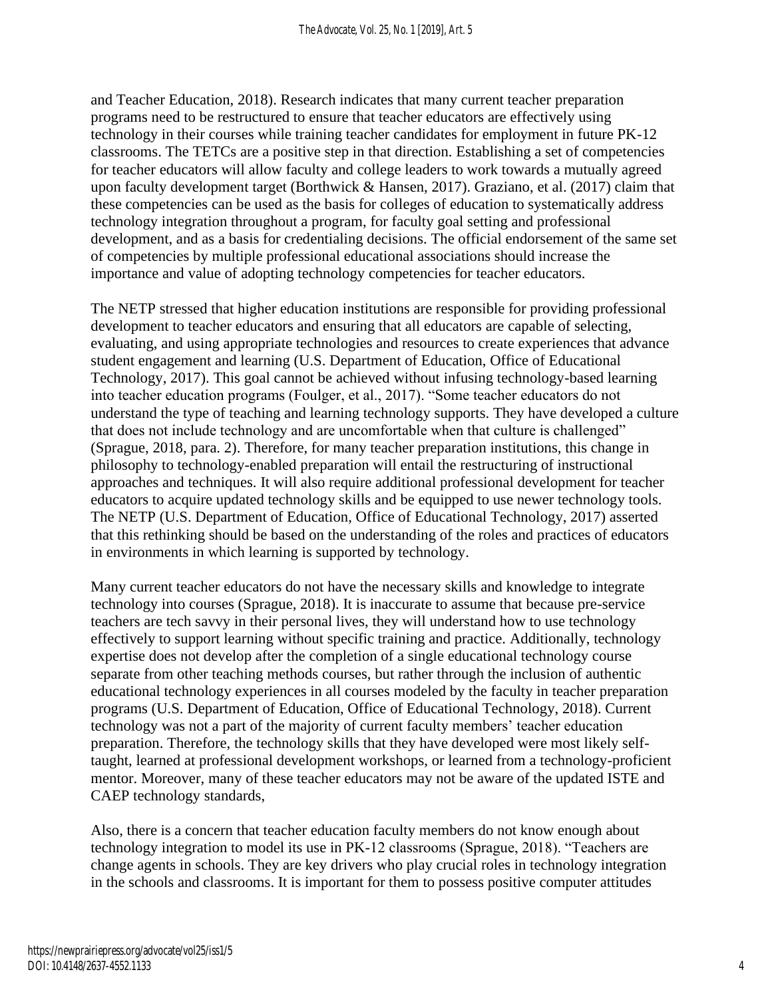and Teacher Education, 2018). Research indicates that many current teacher preparation programs need to be restructured to ensure that teacher educators are effectively using technology in their courses while training teacher candidates for employment in future PK-12 classrooms. The TETCs are a positive step in that direction. Establishing a set of competencies for teacher educators will allow faculty and college leaders to work towards a mutually agreed upon faculty development target (Borthwick & Hansen, 2017). Graziano, et al. (2017) claim that these competencies can be used as the basis for colleges of education to systematically address technology integration throughout a program, for faculty goal setting and professional development, and as a basis for credentialing decisions. The official endorsement of the same set of competencies by multiple professional educational associations should increase the importance and value of adopting technology competencies for teacher educators.

The NETP stressed that higher education institutions are responsible for providing professional development to teacher educators and ensuring that all educators are capable of selecting, evaluating, and using appropriate technologies and resources to create experiences that advance student engagement and learning (U.S. Department of Education, Office of Educational Technology, 2017). This goal cannot be achieved without infusing technology-based learning into teacher education programs (Foulger, et al., 2017). "Some teacher educators do not understand the type of teaching and learning technology supports. They have developed a culture that does not include technology and are uncomfortable when that culture is challenged" (Sprague, 2018, para. 2). Therefore, for many teacher preparation institutions, this change in philosophy to technology-enabled preparation will entail the restructuring of instructional approaches and techniques. It will also require additional professional development for teacher educators to acquire updated technology skills and be equipped to use newer technology tools. The NETP (U.S. Department of Education, Office of Educational Technology, 2017) asserted that this rethinking should be based on the understanding of the roles and practices of educators in environments in which learning is supported by technology.

Many current teacher educators do not have the necessary skills and knowledge to integrate technology into courses (Sprague, 2018). It is inaccurate to assume that because pre-service teachers are tech savvy in their personal lives, they will understand how to use technology effectively to support learning without specific training and practice. Additionally, technology expertise does not develop after the completion of a single educational technology course separate from other teaching methods courses, but rather through the inclusion of authentic educational technology experiences in all courses modeled by the faculty in teacher preparation programs (U.S. Department of Education, Office of Educational Technology, 2018). Current technology was not a part of the majority of current faculty members' teacher education preparation. Therefore, the technology skills that they have developed were most likely selftaught, learned at professional development workshops, or learned from a technology-proficient mentor. Moreover, many of these teacher educators may not be aware of the updated ISTE and CAEP technology standards,

Also, there is a concern that teacher education faculty members do not know enough about technology integration to model its use in PK-12 classrooms (Sprague, 2018). "Teachers are change agents in schools. They are key drivers who play crucial roles in technology integration in the schools and classrooms. It is important for them to possess positive computer attitudes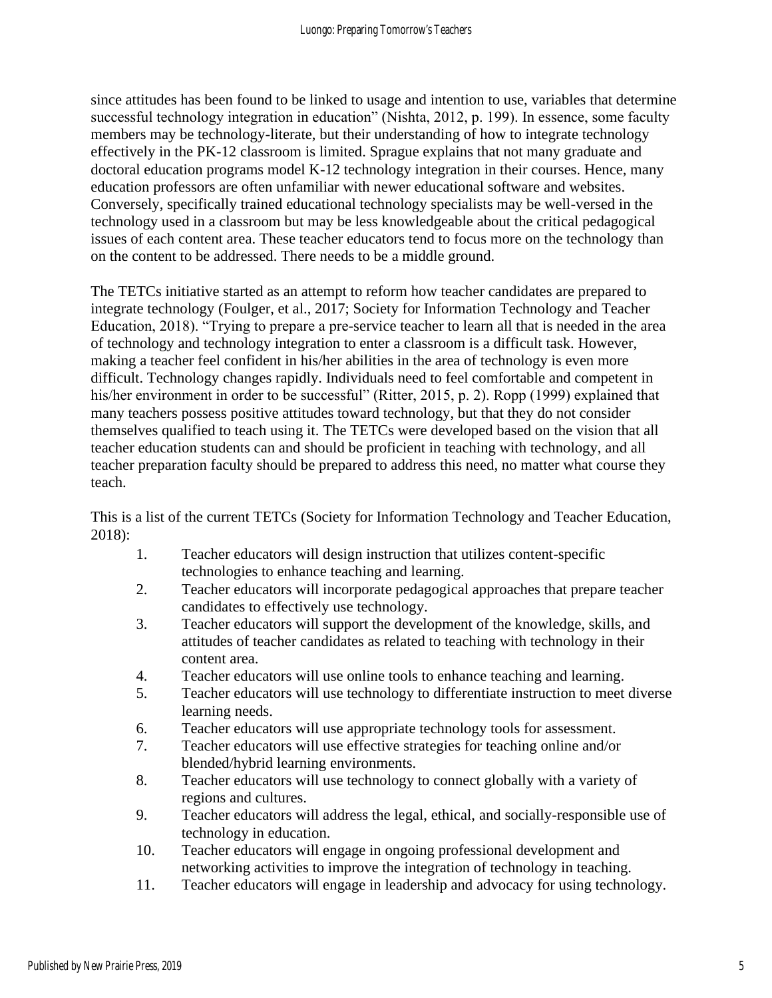since attitudes has been found to be linked to usage and intention to use, variables that determine successful technology integration in education" (Nishta, 2012, p. 199). In essence, some faculty members may be technology-literate, but their understanding of how to integrate technology effectively in the PK-12 classroom is limited. Sprague explains that not many graduate and doctoral education programs model K-12 technology integration in their courses. Hence, many education professors are often unfamiliar with newer educational software and websites. Conversely, specifically trained educational technology specialists may be well-versed in the technology used in a classroom but may be less knowledgeable about the critical pedagogical issues of each content area. These teacher educators tend to focus more on the technology than on the content to be addressed. There needs to be a middle ground.

The TETCs initiative started as an attempt to reform how teacher candidates are prepared to integrate technology (Foulger, et al., 2017; Society for Information Technology and Teacher Education, 2018). "Trying to prepare a pre-service teacher to learn all that is needed in the area of technology and technology integration to enter a classroom is a difficult task. However, making a teacher feel confident in his/her abilities in the area of technology is even more difficult. Technology changes rapidly. Individuals need to feel comfortable and competent in his/her environment in order to be successful" (Ritter, 2015, p. 2). Ropp (1999) explained that many teachers possess positive attitudes toward technology, but that they do not consider themselves qualified to teach using it. The TETCs were developed based on the vision that all teacher education students can and should be proficient in teaching with technology, and all teacher preparation faculty should be prepared to address this need, no matter what course they teach.

This is a list of the current TETCs (Society for Information Technology and Teacher Education, 2018):

- 1. Teacher educators will design instruction that utilizes content-specific technologies to enhance teaching and learning.
- 2. Teacher educators will incorporate pedagogical approaches that prepare teacher candidates to effectively use technology.
- 3. Teacher educators will support the development of the knowledge, skills, and attitudes of teacher candidates as related to teaching with technology in their content area.
- 4. Teacher educators will use online tools to enhance teaching and learning.
- 5. Teacher educators will use technology to differentiate instruction to meet diverse learning needs.
- 6. Teacher educators will use appropriate technology tools for assessment.
- 7. Teacher educators will use effective strategies for teaching online and/or blended/hybrid learning environments.
- 8. Teacher educators will use technology to connect globally with a variety of regions and cultures.
- 9. Teacher educators will address the legal, ethical, and socially-responsible use of technology in education.
- 10. Teacher educators will engage in ongoing professional development and networking activities to improve the integration of technology in teaching.
- 11. Teacher educators will engage in leadership and advocacy for using technology.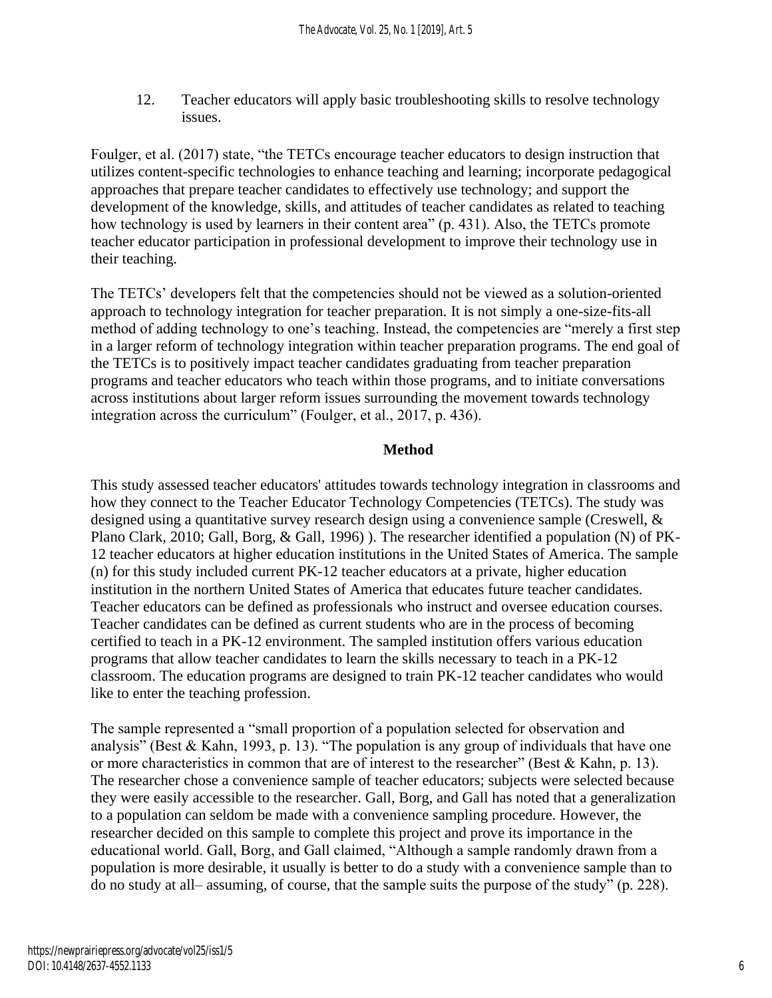12. Teacher educators will apply basic troubleshooting skills to resolve technology issues.

Foulger, et al. (2017) state, "the TETCs encourage teacher educators to design instruction that utilizes content-specific technologies to enhance teaching and learning; incorporate pedagogical approaches that prepare teacher candidates to effectively use technology; and support the development of the knowledge, skills, and attitudes of teacher candidates as related to teaching how technology is used by learners in their content area" (p. 431). Also, the TETCs promote teacher educator participation in professional development to improve their technology use in their teaching.

The TETCs' developers felt that the competencies should not be viewed as a solution-oriented approach to technology integration for teacher preparation. It is not simply a one-size-fits-all method of adding technology to one's teaching. Instead, the competencies are "merely a first step in a larger reform of technology integration within teacher preparation programs. The end goal of the TETCs is to positively impact teacher candidates graduating from teacher preparation programs and teacher educators who teach within those programs, and to initiate conversations across institutions about larger reform issues surrounding the movement towards technology integration across the curriculum" (Foulger, et al., 2017, p. 436).

#### **Method**

This study assessed teacher educators' attitudes towards technology integration in classrooms and how they connect to the Teacher Educator Technology Competencies (TETCs). The study was designed using a quantitative survey research design using a convenience sample (Creswell, & Plano Clark, 2010; Gall, Borg, & Gall, 1996) ). The researcher identified a population (N) of PK-12 teacher educators at higher education institutions in the United States of America. The sample (n) for this study included current PK-12 teacher educators at a private, higher education institution in the northern United States of America that educates future teacher candidates. Teacher educators can be defined as professionals who instruct and oversee education courses. Teacher candidates can be defined as current students who are in the process of becoming certified to teach in a PK-12 environment. The sampled institution offers various education programs that allow teacher candidates to learn the skills necessary to teach in a PK-12 classroom. The education programs are designed to train PK-12 teacher candidates who would like to enter the teaching profession.

The sample represented a "small proportion of a population selected for observation and analysis" (Best & Kahn, 1993, p. 13). "The population is any group of individuals that have one or more characteristics in common that are of interest to the researcher" (Best & Kahn, p. 13). The researcher chose a convenience sample of teacher educators; subjects were selected because they were easily accessible to the researcher. Gall, Borg, and Gall has noted that a generalization to a population can seldom be made with a convenience sampling procedure. However, the researcher decided on this sample to complete this project and prove its importance in the educational world. Gall, Borg, and Gall claimed, "Although a sample randomly drawn from a population is more desirable, it usually is better to do a study with a convenience sample than to do no study at all– assuming, of course, that the sample suits the purpose of the study" (p. 228).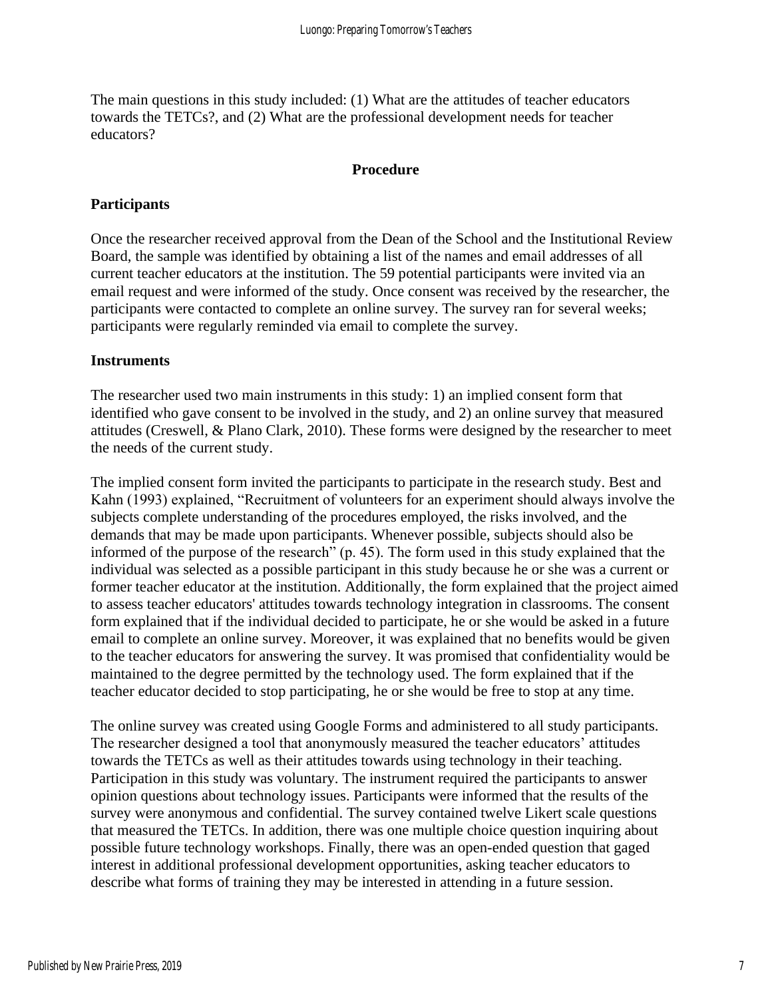The main questions in this study included: (1) What are the attitudes of teacher educators towards the TETCs?, and (2) What are the professional development needs for teacher educators?

#### **Procedure**

#### **Participants**

Once the researcher received approval from the Dean of the School and the Institutional Review Board, the sample was identified by obtaining a list of the names and email addresses of all current teacher educators at the institution. The 59 potential participants were invited via an email request and were informed of the study. Once consent was received by the researcher, the participants were contacted to complete an online survey. The survey ran for several weeks; participants were regularly reminded via email to complete the survey.

#### **Instruments**

The researcher used two main instruments in this study: 1) an implied consent form that identified who gave consent to be involved in the study, and 2) an online survey that measured attitudes (Creswell, & Plano Clark, 2010). These forms were designed by the researcher to meet the needs of the current study.

The implied consent form invited the participants to participate in the research study. Best and Kahn (1993) explained, "Recruitment of volunteers for an experiment should always involve the subjects complete understanding of the procedures employed, the risks involved, and the demands that may be made upon participants. Whenever possible, subjects should also be informed of the purpose of the research" (p. 45). The form used in this study explained that the individual was selected as a possible participant in this study because he or she was a current or former teacher educator at the institution. Additionally, the form explained that the project aimed to assess teacher educators' attitudes towards technology integration in classrooms. The consent form explained that if the individual decided to participate, he or she would be asked in a future email to complete an online survey. Moreover, it was explained that no benefits would be given to the teacher educators for answering the survey. It was promised that confidentiality would be maintained to the degree permitted by the technology used. The form explained that if the teacher educator decided to stop participating, he or she would be free to stop at any time.

The online survey was created using Google Forms and administered to all study participants. The researcher designed a tool that anonymously measured the teacher educators' attitudes towards the TETCs as well as their attitudes towards using technology in their teaching. Participation in this study was voluntary. The instrument required the participants to answer opinion questions about technology issues. Participants were informed that the results of the survey were anonymous and confidential. The survey contained twelve Likert scale questions that measured the TETCs. In addition, there was one multiple choice question inquiring about possible future technology workshops. Finally, there was an open-ended question that gaged interest in additional professional development opportunities, asking teacher educators to describe what forms of training they may be interested in attending in a future session.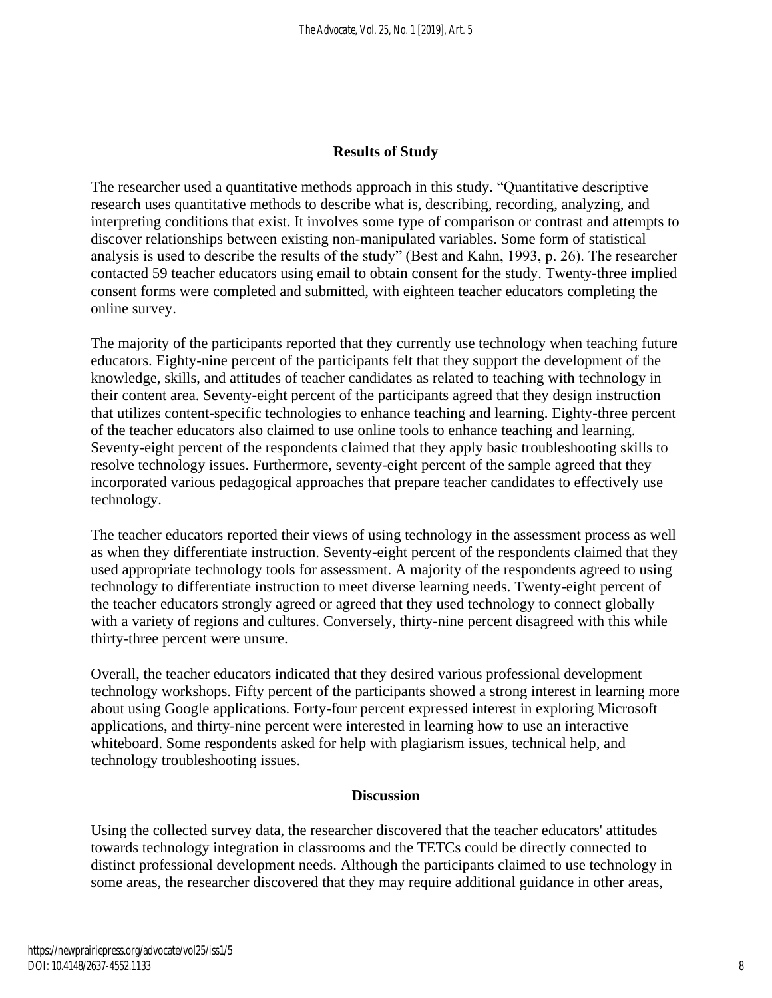#### **Results of Study**

The researcher used a quantitative methods approach in this study. "Quantitative descriptive research uses quantitative methods to describe what is, describing, recording, analyzing, and interpreting conditions that exist. It involves some type of comparison or contrast and attempts to discover relationships between existing non-manipulated variables. Some form of statistical analysis is used to describe the results of the study" (Best and Kahn, 1993, p. 26). The researcher contacted 59 teacher educators using email to obtain consent for the study. Twenty-three implied consent forms were completed and submitted, with eighteen teacher educators completing the online survey.

The majority of the participants reported that they currently use technology when teaching future educators. Eighty-nine percent of the participants felt that they support the development of the knowledge, skills, and attitudes of teacher candidates as related to teaching with technology in their content area. Seventy-eight percent of the participants agreed that they design instruction that utilizes content-specific technologies to enhance teaching and learning. Eighty-three percent of the teacher educators also claimed to use online tools to enhance teaching and learning. Seventy-eight percent of the respondents claimed that they apply basic troubleshooting skills to resolve technology issues. Furthermore, seventy-eight percent of the sample agreed that they incorporated various pedagogical approaches that prepare teacher candidates to effectively use technology.

The teacher educators reported their views of using technology in the assessment process as well as when they differentiate instruction. Seventy-eight percent of the respondents claimed that they used appropriate technology tools for assessment. A majority of the respondents agreed to using technology to differentiate instruction to meet diverse learning needs. Twenty-eight percent of the teacher educators strongly agreed or agreed that they used technology to connect globally with a variety of regions and cultures. Conversely, thirty-nine percent disagreed with this while thirty-three percent were unsure.

Overall, the teacher educators indicated that they desired various professional development technology workshops. Fifty percent of the participants showed a strong interest in learning more about using Google applications. Forty-four percent expressed interest in exploring Microsoft applications, and thirty-nine percent were interested in learning how to use an interactive whiteboard. Some respondents asked for help with plagiarism issues, technical help, and technology troubleshooting issues.

#### **Discussion**

Using the collected survey data, the researcher discovered that the teacher educators' attitudes towards technology integration in classrooms and the TETCs could be directly connected to distinct professional development needs. Although the participants claimed to use technology in some areas, the researcher discovered that they may require additional guidance in other areas,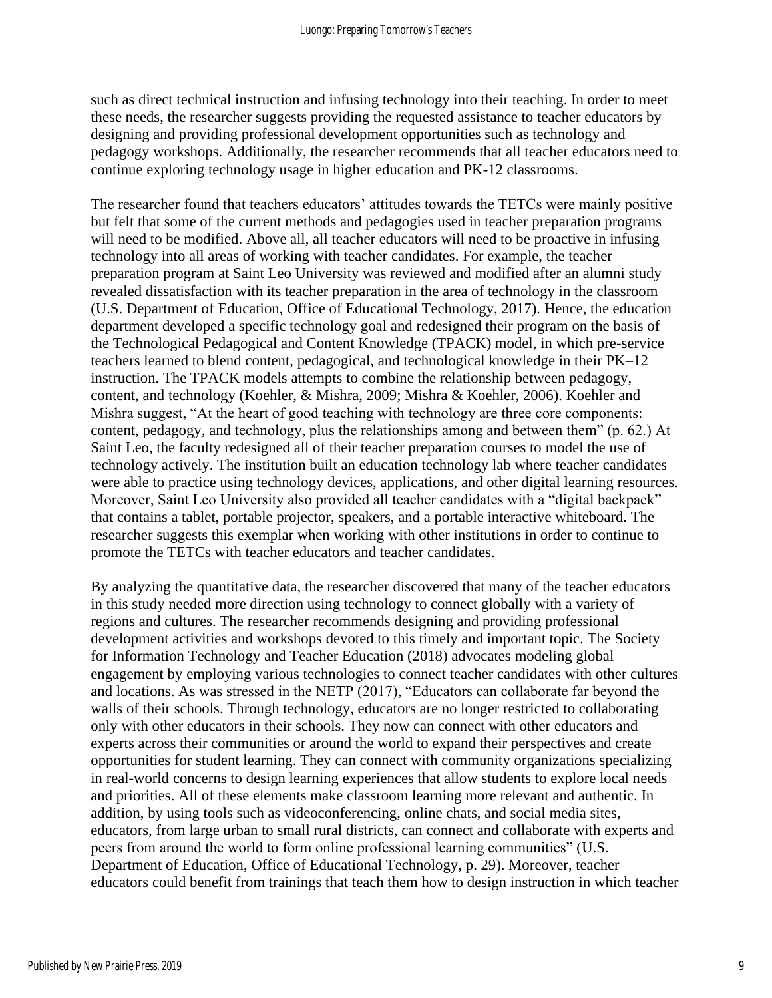such as direct technical instruction and infusing technology into their teaching. In order to meet these needs, the researcher suggests providing the requested assistance to teacher educators by designing and providing professional development opportunities such as technology and pedagogy workshops. Additionally, the researcher recommends that all teacher educators need to continue exploring technology usage in higher education and PK-12 classrooms.

The researcher found that teachers educators' attitudes towards the TETCs were mainly positive but felt that some of the current methods and pedagogies used in teacher preparation programs will need to be modified. Above all, all teacher educators will need to be proactive in infusing technology into all areas of working with teacher candidates. For example, the teacher preparation program at Saint Leo University was reviewed and modified after an alumni study revealed dissatisfaction with its teacher preparation in the area of technology in the classroom (U.S. Department of Education, Office of Educational Technology, 2017). Hence, the education department developed a specific technology goal and redesigned their program on the basis of the Technological Pedagogical and Content Knowledge (TPACK) model, in which pre-service teachers learned to blend content, pedagogical, and technological knowledge in their PK–12 instruction. The TPACK models attempts to combine the relationship between pedagogy, content, and technology (Koehler, & Mishra, 2009; Mishra & Koehler, 2006). Koehler and Mishra suggest, "At the heart of good teaching with technology are three core components: content, pedagogy, and technology, plus the relationships among and between them" (p. 62.) At Saint Leo, the faculty redesigned all of their teacher preparation courses to model the use of technology actively. The institution built an education technology lab where teacher candidates were able to practice using technology devices, applications, and other digital learning resources. Moreover, Saint Leo University also provided all teacher candidates with a "digital backpack" that contains a tablet, portable projector, speakers, and a portable interactive whiteboard. The researcher suggests this exemplar when working with other institutions in order to continue to promote the TETCs with teacher educators and teacher candidates.

By analyzing the quantitative data, the researcher discovered that many of the teacher educators in this study needed more direction using technology to connect globally with a variety of regions and cultures. The researcher recommends designing and providing professional development activities and workshops devoted to this timely and important topic. The Society for Information Technology and Teacher Education (2018) advocates modeling global engagement by employing various technologies to connect teacher candidates with other cultures and locations. As was stressed in the NETP (2017), "Educators can collaborate far beyond the walls of their schools. Through technology, educators are no longer restricted to collaborating only with other educators in their schools. They now can connect with other educators and experts across their communities or around the world to expand their perspectives and create opportunities for student learning. They can connect with community organizations specializing in real-world concerns to design learning experiences that allow students to explore local needs and priorities. All of these elements make classroom learning more relevant and authentic. In addition, by using tools such as videoconferencing, online chats, and social media sites, educators, from large urban to small rural districts, can connect and collaborate with experts and peers from around the world to form online professional learning communities" (U.S. Department of Education, Office of Educational Technology, p. 29). Moreover, teacher educators could benefit from trainings that teach them how to design instruction in which teacher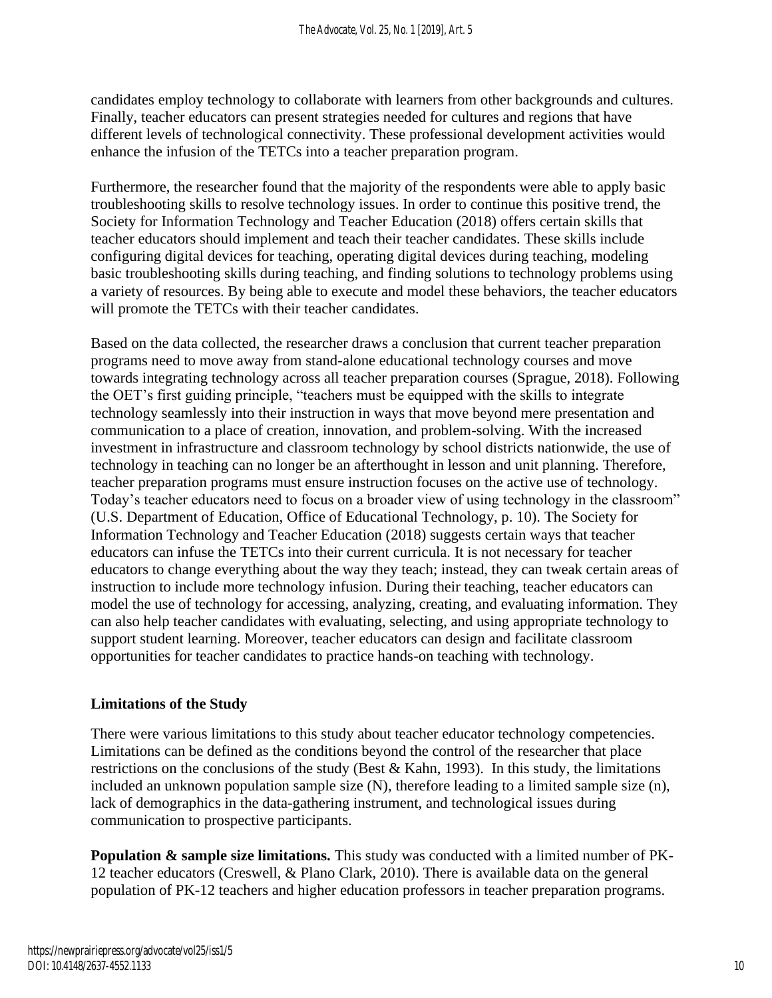candidates employ technology to collaborate with learners from other backgrounds and cultures. Finally, teacher educators can present strategies needed for cultures and regions that have different levels of technological connectivity. These professional development activities would enhance the infusion of the TETCs into a teacher preparation program.

Furthermore, the researcher found that the majority of the respondents were able to apply basic troubleshooting skills to resolve technology issues. In order to continue this positive trend, the Society for Information Technology and Teacher Education (2018) offers certain skills that teacher educators should implement and teach their teacher candidates. These skills include configuring digital devices for teaching, operating digital devices during teaching, modeling basic troubleshooting skills during teaching, and finding solutions to technology problems using a variety of resources. By being able to execute and model these behaviors, the teacher educators will promote the TETCs with their teacher candidates.

Based on the data collected, the researcher draws a conclusion that current teacher preparation programs need to move away from stand-alone educational technology courses and move towards integrating technology across all teacher preparation courses (Sprague, 2018). Following the OET's first guiding principle, "teachers must be equipped with the skills to integrate technology seamlessly into their instruction in ways that move beyond mere presentation and communication to a place of creation, innovation, and problem-solving. With the increased investment in infrastructure and classroom technology by school districts nationwide, the use of technology in teaching can no longer be an afterthought in lesson and unit planning. Therefore, teacher preparation programs must ensure instruction focuses on the active use of technology. Today's teacher educators need to focus on a broader view of using technology in the classroom" (U.S. Department of Education, Office of Educational Technology, p. 10). The Society for Information Technology and Teacher Education (2018) suggests certain ways that teacher educators can infuse the TETCs into their current curricula. It is not necessary for teacher educators to change everything about the way they teach; instead, they can tweak certain areas of instruction to include more technology infusion. During their teaching, teacher educators can model the use of technology for accessing, analyzing, creating, and evaluating information. They can also help teacher candidates with evaluating, selecting, and using appropriate technology to support student learning. Moreover, teacher educators can design and facilitate classroom opportunities for teacher candidates to practice hands-on teaching with technology.

#### **Limitations of the Study**

There were various limitations to this study about teacher educator technology competencies. Limitations can be defined as the conditions beyond the control of the researcher that place restrictions on the conclusions of the study (Best & Kahn, 1993). In this study, the limitations included an unknown population sample size (N), therefore leading to a limited sample size (n), lack of demographics in the data-gathering instrument, and technological issues during communication to prospective participants.

**Population & sample size limitations.** This study was conducted with a limited number of PK-12 teacher educators (Creswell, & Plano Clark, 2010). There is available data on the general population of PK-12 teachers and higher education professors in teacher preparation programs.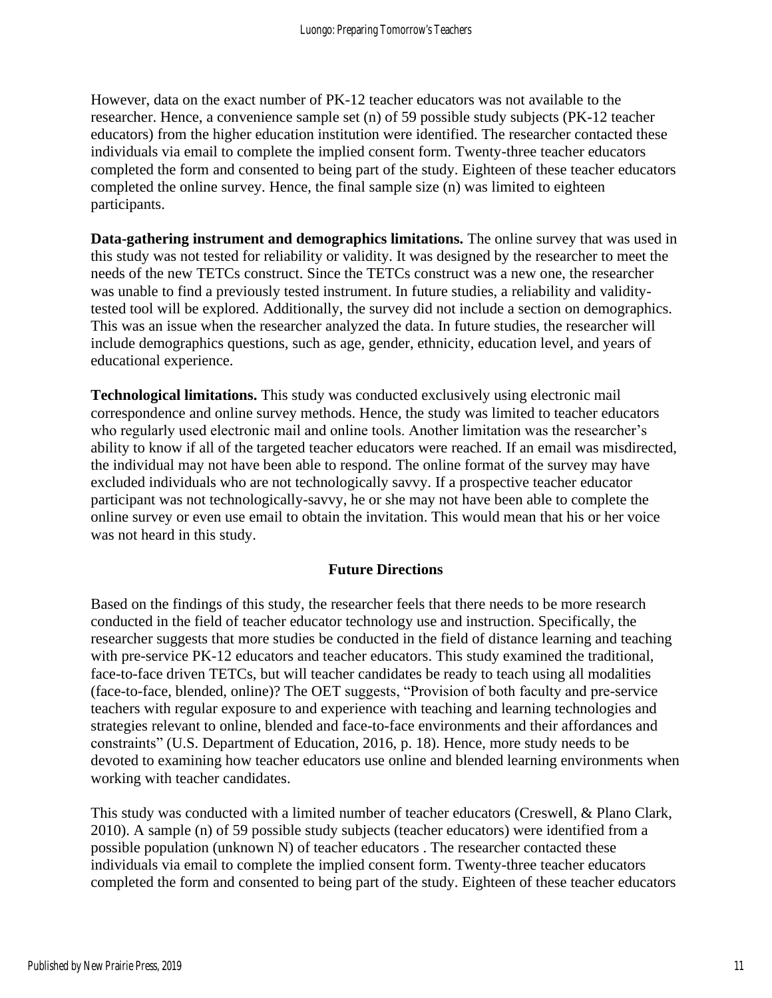However, data on the exact number of PK-12 teacher educators was not available to the researcher. Hence, a convenience sample set (n) of 59 possible study subjects (PK-12 teacher educators) from the higher education institution were identified. The researcher contacted these individuals via email to complete the implied consent form. Twenty-three teacher educators completed the form and consented to being part of the study. Eighteen of these teacher educators completed the online survey. Hence, the final sample size (n) was limited to eighteen participants.

**Data-gathering instrument and demographics limitations.** The online survey that was used in this study was not tested for reliability or validity. It was designed by the researcher to meet the needs of the new TETCs construct. Since the TETCs construct was a new one, the researcher was unable to find a previously tested instrument. In future studies, a reliability and validitytested tool will be explored. Additionally, the survey did not include a section on demographics. This was an issue when the researcher analyzed the data. In future studies, the researcher will include demographics questions, such as age, gender, ethnicity, education level, and years of educational experience.

**Technological limitations.** This study was conducted exclusively using electronic mail correspondence and online survey methods. Hence, the study was limited to teacher educators who regularly used electronic mail and online tools. Another limitation was the researcher's ability to know if all of the targeted teacher educators were reached. If an email was misdirected, the individual may not have been able to respond. The online format of the survey may have excluded individuals who are not technologically savvy. If a prospective teacher educator participant was not technologically-savvy, he or she may not have been able to complete the online survey or even use email to obtain the invitation. This would mean that his or her voice was not heard in this study.

#### **Future Directions**

Based on the findings of this study, the researcher feels that there needs to be more research conducted in the field of teacher educator technology use and instruction. Specifically, the researcher suggests that more studies be conducted in the field of distance learning and teaching with pre-service PK-12 educators and teacher educators. This study examined the traditional, face-to-face driven TETCs, but will teacher candidates be ready to teach using all modalities (face-to-face, blended, online)? The OET suggests, "Provision of both faculty and pre-service teachers with regular exposure to and experience with teaching and learning technologies and strategies relevant to online, blended and face-to-face environments and their affordances and constraints" (U.S. Department of Education, 2016, p. 18). Hence, more study needs to be devoted to examining how teacher educators use online and blended learning environments when working with teacher candidates.

This study was conducted with a limited number of teacher educators (Creswell, & Plano Clark, 2010). A sample (n) of 59 possible study subjects (teacher educators) were identified from a possible population (unknown N) of teacher educators . The researcher contacted these individuals via email to complete the implied consent form. Twenty-three teacher educators completed the form and consented to being part of the study. Eighteen of these teacher educators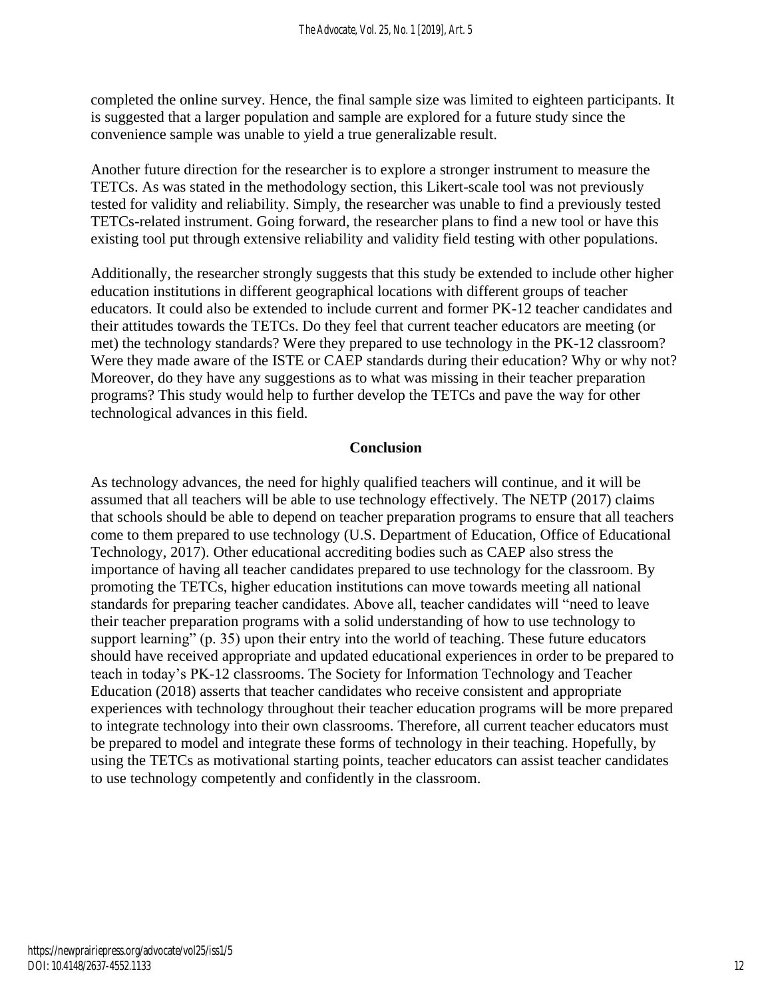completed the online survey. Hence, the final sample size was limited to eighteen participants. It is suggested that a larger population and sample are explored for a future study since the convenience sample was unable to yield a true generalizable result.

Another future direction for the researcher is to explore a stronger instrument to measure the TETCs. As was stated in the methodology section, this Likert-scale tool was not previously tested for validity and reliability. Simply, the researcher was unable to find a previously tested TETCs-related instrument. Going forward, the researcher plans to find a new tool or have this existing tool put through extensive reliability and validity field testing with other populations.

Additionally, the researcher strongly suggests that this study be extended to include other higher education institutions in different geographical locations with different groups of teacher educators. It could also be extended to include current and former PK-12 teacher candidates and their attitudes towards the TETCs. Do they feel that current teacher educators are meeting (or met) the technology standards? Were they prepared to use technology in the PK-12 classroom? Were they made aware of the ISTE or CAEP standards during their education? Why or why not? Moreover, do they have any suggestions as to what was missing in their teacher preparation programs? This study would help to further develop the TETCs and pave the way for other technological advances in this field.

#### **Conclusion**

As technology advances, the need for highly qualified teachers will continue, and it will be assumed that all teachers will be able to use technology effectively. The NETP (2017) claims that schools should be able to depend on teacher preparation programs to ensure that all teachers come to them prepared to use technology (U.S. Department of Education, Office of Educational Technology, 2017). Other educational accrediting bodies such as CAEP also stress the importance of having all teacher candidates prepared to use technology for the classroom. By promoting the TETCs, higher education institutions can move towards meeting all national standards for preparing teacher candidates. Above all, teacher candidates will "need to leave their teacher preparation programs with a solid understanding of how to use technology to support learning" (p. 35) upon their entry into the world of teaching. These future educators should have received appropriate and updated educational experiences in order to be prepared to teach in today's PK-12 classrooms. The Society for Information Technology and Teacher Education (2018) asserts that teacher candidates who receive consistent and appropriate experiences with technology throughout their teacher education programs will be more prepared to integrate technology into their own classrooms. Therefore, all current teacher educators must be prepared to model and integrate these forms of technology in their teaching. Hopefully, by using the TETCs as motivational starting points, teacher educators can assist teacher candidates to use technology competently and confidently in the classroom.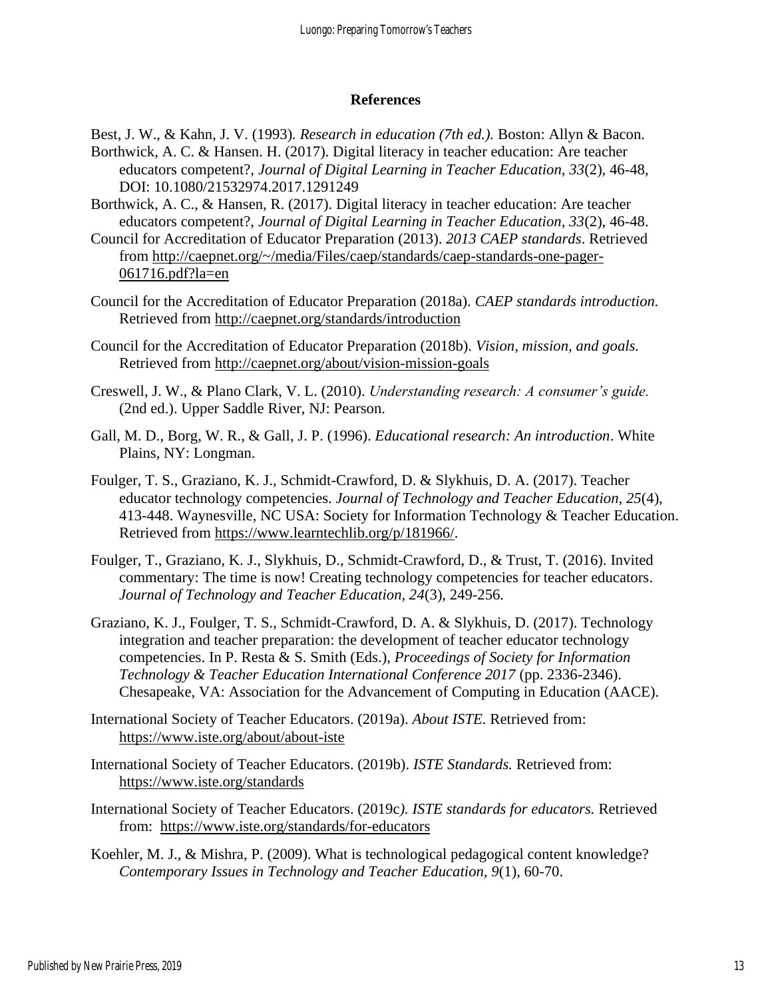#### **References**

Best, J. W., & Kahn, J. V. (1993)*. Research in education (7th ed.).* Boston: Allyn & Bacon. Borthwick, A. C. & Hansen. H. (2017). Digital literacy in teacher education: Are teacher educators competent?, *Journal of Digital Learning in Teacher Education, 33*(2), 46-48, DOI: 10.1080/21532974.2017.1291249

Borthwick, A. C., & Hansen, R. (2017). Digital literacy in teacher education: Are teacher educators competent?, *Journal of Digital Learning in Teacher Education, 33*(2), 46-48.

Council for Accreditation of Educator Preparation (2013). *2013 CAEP standards*. Retrieved from [http://caepnet.org/~/media/Files/caep/standards/caep-standards-one-pager-](http://caepnet.org/~/media/Files/caep/standards/caep-standards-one-pager-061716.pdf?la=en)[061716.pdf?la=en](http://caepnet.org/~/media/Files/caep/standards/caep-standards-one-pager-061716.pdf?la=en)

Council for the Accreditation of Educator Preparation (2018a). *CAEP standards introduction.*  Retrieved from<http://caepnet.org/standards/introduction>

Council for the Accreditation of Educator Preparation (2018b). *Vision, mission, and goals.*  Retrieved from<http://caepnet.org/about/vision-mission-goals>

Creswell, J. W., & Plano Clark, V. L. (2010). *Understanding research: A consumer's guide.* (2nd ed.). Upper Saddle River, NJ: Pearson.

Gall, M. D., Borg, W. R., & Gall, J. P. (1996). *Educational research: An introduction*. White Plains, NY: Longman.

Foulger, T. S., Graziano, K. J., Schmidt-Crawford, D. & Slykhuis, D. A. (2017). Teacher educator technology competencies. *Journal of Technology and Teacher Education*, *25*(4), 413-448. Waynesville, NC USA: Society for Information Technology & Teacher Education. Retrieved from [https://www.learntechlib.org/p/181966/.](https://www.learntechlib.org/p/181966/)

Foulger, T., Graziano, K. J., Slykhuis, D., Schmidt-Crawford, D., & Trust, T. (2016). [Invited](https://www.learntechlib.org/p/174099/)  [commentary: The time is now! Creating technology competencies for teacher educators.](https://www.learntechlib.org/p/174099/) *Journal of Technology and Teacher Education, 24*(3), 249-256.

Graziano, K. J., Foulger, T. S., Schmidt-Crawford, D. A. & Slykhuis, D. (2017). Technology integration and teacher preparation: the development of teacher educator technology competencies. In P. Resta & S. Smith (Eds.), *Proceedings of Society for Information Technology & Teacher Education International Conference 2017* (pp. 2336-2346). Chesapeake, VA: Association for the Advancement of Computing in Education (AACE).

International Society of Teacher Educators. (2019a). *About ISTE.* Retrieved from: <https://www.iste.org/about/about-iste>

International Society of Teacher Educators. (2019b). *ISTE Standards.* Retrieved from: <https://www.iste.org/standards>

International Society of Teacher Educators. (2019c*). ISTE standards for educators.* Retrieved from: <https://www.iste.org/standards/for-educators>

Koehler, M. J., & Mishra, P. (2009). What is technological pedagogical content knowledge? *Contemporary Issues in Technology and Teacher Education, 9*(1), 60-70.